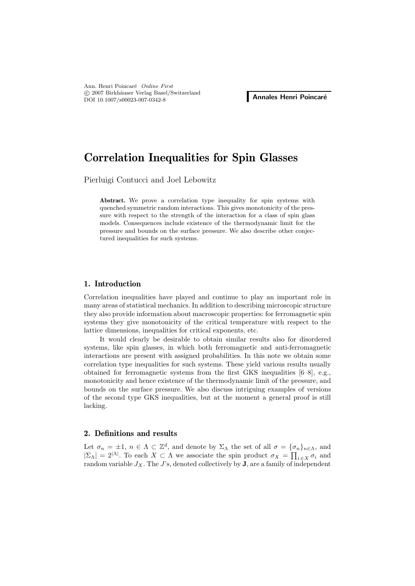Ann. Henri Poincar´e *Online First* -c 2007 Birkh¨auser Verlag Basel/Switzerland C 2007 BITKhauser verlag Basel/Switzerland<br>DOI 10.1007/s00023-007-0342-8

# **Correlation Inequalities for Spin Glasses**

Pierluigi Contucci and Joel Lebowitz

**Abstract.** We prove a correlation type inequality for spin systems with quenched symmetric random interactions. This gives monotonicity of the pressure with respect to the strength of the interaction for a class of spin glass models. Consequences include existence of the thermodynamic limit for the pressure and bounds on the surface pressure. We also describe other conjectured inequalities for such systems.

## **1. Introduction**

Correlation inequalities have played and continue to play an important role in many areas of statistical mechanics. In addition to describing microscopic structure they also provide information about macroscopic properties: for ferromagnetic spin systems they give monotonicity of the critical temperature with respect to the lattice dimensions, inequalities for critical exponents, etc.

It would clearly be desirable to obtain similar results also for disordered systems, like spin glasses, in which both ferromagnetic and anti-ferromagnetic interactions are present with assigned probabilities. In this note we obtain some correlation type inequalities for such systems. These yield various results usually obtained for ferromagnetic systems from the first GKS inequalities  $[6-8]$ , e.g., monotonicity and hence existence of the thermodynamic limit of the pressure, and bounds on the surface pressure. We also discuss intriguing examples of versions of the second type GKS inequalities, but at the moment a general proof is still lacking.

## **2. Definitions and results**

Let  $\sigma_n = \pm 1$ ,  $n \in \Lambda \subset \mathbb{Z}^d$ , and denote by  $\Sigma_\Lambda$  the set of all  $\sigma = {\{\sigma_n\}}_{n \in \Lambda}$ , and  $|\Sigma_{\Lambda}| = 2^{|\Lambda|}$ . To each  $X \subset \Lambda$  we associate the spin product  $\sigma_X = \prod_{i \in X} \sigma_i$  and random variable  $J_X$ . The  $J$ 's, denoted collectively by **J**, are a family of independent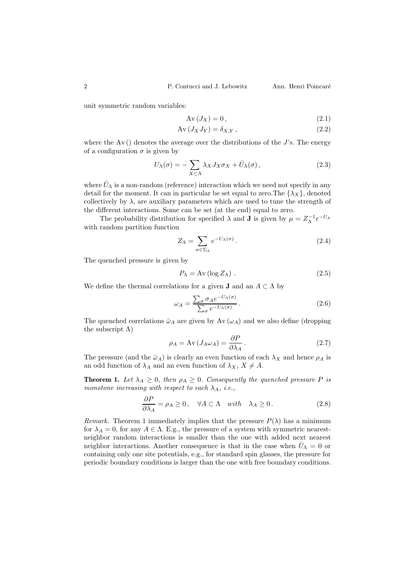unit symmetric random variables:

$$
Av(J_X) = 0,
$$
\n(2.1)

$$
Av(J_X J_Y) = \delta_{X,Y},
$$
\n(2.2)

where the  $Av()$  denotes the average over the distributions of the J's. The energy of a configuration  $\sigma$  is given by

$$
U_{\Lambda}(\sigma) = -\sum_{X \subset \Lambda} \lambda_X J_X \sigma_X + \bar{U}_{\Lambda}(\sigma), \qquad (2.3)
$$

where  $\bar{U}_{\Lambda}$  is a non-random (reference) interaction which we need not specify in any detail for the moment. It can in particular be set equal to zero. The  $\{\lambda_X\}$ , denoted collectively by  $\lambda$ , are auxiliary parameters which are used to tune the strength of the different interactions. Some can be set (at the end) equal to zero.

The probability distribution for specified  $\lambda$  and **J** is given by  $\mu = Z_{\Lambda}^{-1}e^{-U_{\Lambda}}$ with random partition function

$$
Z_{\Lambda} = \sum_{\sigma \in \Sigma_{\Lambda}} e^{-U_{\Lambda}(\sigma)}.
$$
\n(2.4)

The quenched pressure is given by

$$
P_{\Lambda} = Av (\log Z_{\Lambda}). \qquad (2.5)
$$

We define the thermal correlations for a given **J** and an  $A \subset \Lambda$  by

$$
\omega_A = \frac{\sum_{\sigma} \sigma_A e^{-U_{\Lambda}(\sigma)}}{\sum_{\sigma} e^{-U_{\Lambda}(\sigma)}}.
$$
\n(2.6)

The quenched correlations  $\bar{\omega}_A$  are given by Av  $(\omega_A)$  and we also define (dropping the subscript  $\Lambda$ )

$$
\rho_A = \text{Av}(J_A \omega_A) = \frac{\partial P}{\partial \lambda_A}.
$$
\n(2.7)

The pressure (and the  $\bar{\omega}_A$ ) is clearly an even function of each  $\lambda_X$  and hence  $\rho_A$  is an odd function of  $\lambda_A$  and an even function of  $\lambda_X$ ,  $X \neq A$ .

**Theorem 1.** Let  $\lambda_A \geq 0$ , then  $\rho_A \geq 0$ . Consequently the quenched pressure P is *monotone increasing with respect to each*  $\lambda_A$ *, i.e.*,

$$
\frac{\partial P}{\partial \lambda_A} = \rho_A \ge 0 \,, \quad \forall A \subset \Lambda \quad with \quad \lambda_A \ge 0 \,. \tag{2.8}
$$

*Remark.* Theorem 1 immediately implies that the pressure  $P(\lambda)$  has a minimum for  $\lambda_A = 0$ , for any  $A \in \Lambda$ . E.g., the pressure of a system with symmetric nearestneighbor random interactions is smaller than the one with added next nearest neighbor interactions. Another consequence is that in the case when  $\bar{U}_{\Lambda} = 0$  or containing only one site potentials, e.g., for standard spin glasses, the pressure for periodic boundary conditions is larger than the one with free boundary conditions.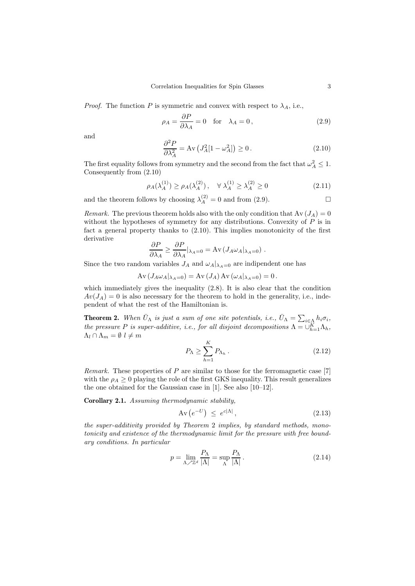*Proof.* The function P is symmetric and convex with respect to  $\lambda_A$ , i.e.,

$$
\rho_A = \frac{\partial P}{\partial \lambda_A} = 0 \quad \text{for} \quad \lambda_A = 0, \tag{2.9}
$$

and

$$
\frac{\partial^2 P}{\partial \lambda_A^2} = \text{Av} \left( J_A^2 [1 - \omega_A^2] \right) \ge 0 \,. \tag{2.10}
$$

The first equality follows from symmetry and the second from the fact that  $\omega_A^2 \leq 1$ . Consequently from (2.10)

$$
\rho_A(\lambda_A^{(1)}) \ge \rho_A(\lambda_A^{(2)}), \quad \forall \ \lambda_A^{(1)} \ge \lambda_A^{(2)} \ge 0 \tag{2.11}
$$

and the theorem follows by choosing  $\lambda_A^{(2)} = 0$  and from (2.9).  $\Box$ 

*Remark.* The previous theorem holds also with the only condition that  $Av(J_A)=0$ without the hypotheses of symmetry for any distributions. Convexity of  $P$  is in fact a general property thanks to (2.10). This implies monotonicity of the first derivative

$$
\frac{\partial P}{\partial \lambda_A} \geq \frac{\partial P}{\partial \lambda_A} |_{\lambda_A=0} = Av \left( J_A \omega_A |_{\lambda_A=0} \right) .
$$

Since the two random variables  $J_A$  and  $\omega_A|_{\lambda_A=0}$  are indipendent one has

 $Av (J_A \omega_A |_{\lambda_A=0}) = Av (J_A) Av (\omega_A |_{\lambda_A=0})=0$ .

which immediately gives the inequality (2.8). It is also clear that the condition  $Av(J_A) = 0$  is also necessary for the theorem to hold in the generality, i.e., independent of what the rest of the Hamiltonian is.

**Theorem 2.** When  $\bar{U}_{\Lambda}$  is just a sum of one site potentials, i.e.,  $\bar{U}_{\Lambda} = \sum_{i \in \Lambda} h_i \sigma_i$ , *the pressure* P *is super-additive, i.e., for all disjoint decompositions*  $\Lambda = \bigcup_{h=1}^{K} \Lambda_h$ ,  $\Lambda_l \cap \Lambda_m = \emptyset$   $l \neq m$ 

$$
P_{\Lambda} \ge \sum_{h=1}^{K} P_{\Lambda_h} \,. \tag{2.12}
$$

*Remark.* These properties of P are similar to those for the ferromagnetic case [7] with the  $\rho_A \geq 0$  playing the role of the first GKS inequality. This result generalizes the one obtained for the Gaussian case in [1]. See also [10–12].

**Corollary 2.1.** *Assuming thermodynamic stability,*

$$
\text{Av}\left(e^{-U}\right) \leq e^{c|\Lambda|},\tag{2.13}
$$

*the super-additivity provided by Theorem* 2 *implies, by standard methods, monotonicity and existence of the thermodynamic limit for the pressure with free boundary conditions. In particular*

$$
p = \lim_{\Lambda \nearrow \mathbb{Z}^d} \frac{P_\Lambda}{|\Lambda|} = \sup_{\Lambda} \frac{P_\Lambda}{|\Lambda|} \,. \tag{2.14}
$$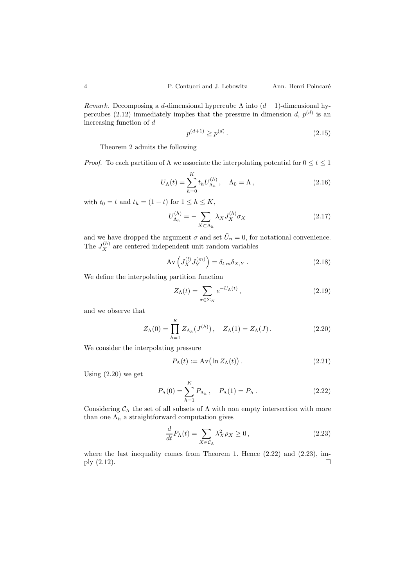*Remark.* Decomposing a d-dimensional hypercube  $\Lambda$  into  $(d-1)$ -dimensional hypercubes (2.12) immediately implies that the pressure in dimension d,  $p^{(d)}$  is an increasing function of d

$$
p^{(d+1)} \ge p^{(d)}.\tag{2.15}
$$

Theorem 2 admits the following

*Proof.* To each partition of  $\Lambda$  we associate the interpolating potential for  $0 \le t \le 1$ 

$$
U_{\Lambda}(t) = \sum_{h=0}^{K} t_h U_{\Lambda_h}^{(h)}, \quad \Lambda_0 = \Lambda, \qquad (2.16)
$$

with  $t_0 = t$  and  $t_h = (1 - t)$  for  $1 \leq h \leq K$ ,

$$
U_{\Lambda_h}^{(h)} = -\sum_{X \subset \Lambda_h} \lambda_X J_X^{(h)} \sigma_X \tag{2.17}
$$

and we have dropped the argument  $\sigma$  and set  $\bar{U}_n = 0$ , for notational convenience. The  $J_X^{(h)}$  are centered independent unit random variables

$$
Av\left(J_X^{(l)}J_Y^{(m)}\right) = \delta_{l,m}\delta_{X,Y}.
$$
\n(2.18)

We define the interpolating partition function

$$
Z_{\Lambda}(t) = \sum_{\sigma \in \Sigma_N} e^{-U_{\Lambda}(t)}, \qquad (2.19)
$$

and we observe that

$$
Z_{\Lambda}(0) = \prod_{h=1}^{K} Z_{\Lambda_h}(J^{(h)}), \quad Z_{\Lambda}(1) = Z_{\Lambda}(J).
$$
 (2.20)

We consider the interpolating pressure

$$
P_{\Lambda}(t) := \operatorname{Av} \big( \ln Z_{\Lambda}(t) \big) . \tag{2.21}
$$

Using (2.20) we get

$$
P_{\Lambda}(0) = \sum_{h=1}^{K} P_{\Lambda_h}, \quad P_{\Lambda}(1) = P_{\Lambda}.
$$
 (2.22)

Considering  $C_\Lambda$  the set of all subsets of  $\Lambda$  with non empty intersection with more than one  $\Lambda_h$  a straightforward computation gives

$$
\frac{d}{dt}P_{\Lambda}(t) = \sum_{X \in \mathcal{C}_{\Lambda}} \lambda_X^2 \rho_X \ge 0, \qquad (2.23)
$$

where the last inequality comes from Theorem 1. Hence  $(2.22)$  and  $(2.23)$ , imply  $(2.12)$ .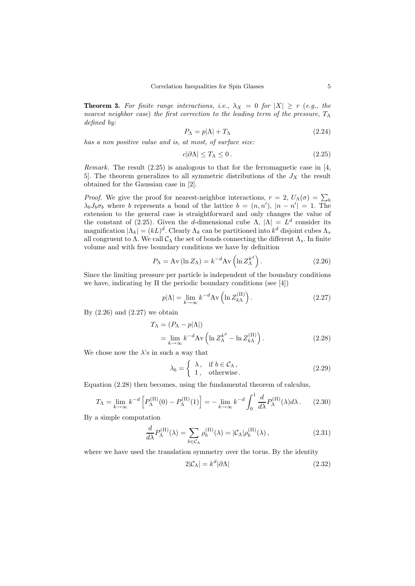**Theorem 3.** For finite range interactions, i.e.,  $\lambda_X = 0$  for  $|X| \ge r$  (e.g., the *nearest neighbor case*) *the first correction to the leading term of the pressure,*  $T_{\Lambda}$ *defined by:*

$$
P_{\Lambda} = p|\Lambda| + T_{\Lambda} \tag{2.24}
$$

*has a non positive value and is, at most, of surface size:*

$$
c|\partial\Lambda| \le T_\Lambda \le 0. \tag{2.25}
$$

*Remark.* The result  $(2.25)$  is analogous to that for the ferromagnetic case in [4,] 5. The theorem generalizes to all symmetric distributions of the  $J_X$  the result obtained for the Gaussian case in [2].

*Proof.* We give the proof for nearest-neighbor interactions,  $r = 2$ ,  $U_{\Lambda}(\sigma) = \sum_{b}$  $\lambda_b J_b \sigma_b$  where b represents a bond of the lattice  $b = (n, n')$ ,  $|n - n'| = 1$ . The extension to the general case is straightforward and only changes the value of the constant of (2.25). Given the d-dimensional cube  $\Lambda$ ,  $|\Lambda| = L^d$  consider its magnification  $|\Lambda_k| = (kL)^d$ . Clearly  $\Lambda_k$  can be partitioned into  $k^d$  disjoint cubes  $\Lambda_s$ all congruent to  $\Lambda$ . We call  $\mathcal{C}_{\Lambda}$  the set of bonds connecting the different  $\Lambda_s$ . In finite volume and with free boundary conditions we have by definition

$$
P_{\Lambda} = \text{Av} \left( \ln Z_{\Lambda} \right) = k^{-d} \text{Av} \left( \ln Z_{\Lambda}^{k^{d}} \right). \tag{2.26}
$$

Since the limiting pressure per particle is independent of the boundary conditions we have, indicating by  $\Pi$  the periodic boundary conditions (see [4])

$$
p|\Lambda| = \lim_{k \to \infty} k^{-d} A \mathbf{v} \left( \ln Z_{k\Lambda}^{(\Pi)} \right). \tag{2.27}
$$

By  $(2.26)$  and  $(2.27)$  we obtain

$$
T_{\Lambda} = (P_{\Lambda} - p|\Lambda|)
$$
  
= 
$$
\lim_{k \to \infty} k^{-d} A v \left( \ln Z_{\Lambda}^{k^{d}} - \ln Z_{k\Lambda}^{(\text{II})} \right).
$$
 (2.28)

We chose now the  $\lambda$ 's in such a way that

$$
\lambda_b = \begin{cases} \lambda, & \text{if } b \in \mathcal{C}_{\Lambda}, \\ 1, & \text{otherwise.} \end{cases}
$$
 (2.29)

Equation (2.28) then becomes, using the fundamental theorem of calculus,

$$
T_{\Lambda} = \lim_{k \to \infty} k^{-d} \left[ P_{\Lambda}^{(\Pi)}(0) - P_{\Lambda}^{(\Pi)}(1) \right] = - \lim_{k \to \infty} k^{-d} \int_0^1 \frac{d}{d\lambda} P_{\Lambda}^{(\Pi)}(\lambda) d\lambda. \tag{2.30}
$$

By a simple computation

$$
\frac{d}{d\lambda}P_{\Lambda}^{(\Pi)}(\lambda) = \sum_{b \in \mathcal{C}_{\Lambda}} \rho_b^{(\Pi)}(\lambda) = |\mathcal{C}_{\Lambda}| \rho_b^{(\Pi)}(\lambda), \qquad (2.31)
$$

where we have used the translation symmetry over the torus. By the identity

$$
2|\mathcal{C}_{\Lambda}| = k^d |\partial \Lambda| \tag{2.32}
$$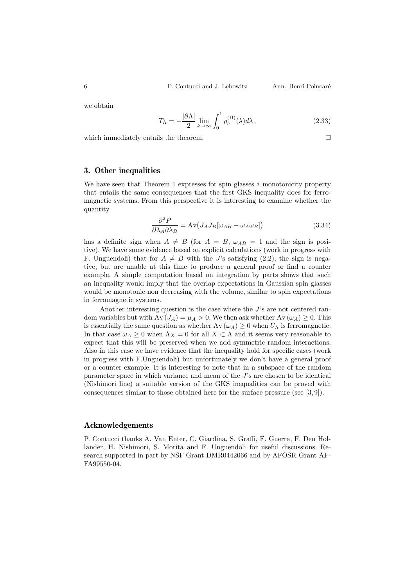we obtain

$$
T_{\Lambda} = -\frac{|\partial \Lambda|}{2} \lim_{k \to \infty} \int_0^1 \rho_b^{(\Pi)}(\lambda) d\lambda, \qquad (2.33)
$$

which immediately entails the theorem.  $\Box$ 

# **3. Other inequalities**

We have seen that Theorem 1 expresses for spin glasses a monotonicity property that entails the same consequences that the first GKS inequality does for ferromagnetic systems. From this perspective it is interesting to examine whether the quantity

$$
\frac{\partial^2 P}{\partial \lambda_A \partial \lambda_B} = \text{Av} \big( J_A J_B [\omega_{AB} - \omega_A \omega_B] \big) \tag{3.34}
$$

has a definite sign when  $A \neq B$  (for  $A = B$ ,  $\omega_{AB} = 1$  and the sign is positive). We have some evidence based on explicit calculations (work in progress with F. Unguendoli) that for  $A \neq B$  with the J's satisfying (2.2), the sign is negative, but are unable at this time to produce a general proof or find a counter example. A simple computation based on integration by parts shows that such an inequality would imply that the overlap expectations in Gaussian spin glasses would be monotonic non decreasing with the volume, similar to spin expectations in ferromagnetic systems.

Another interesting question is the case where the J's are not centered random variables but with  $Av(J_A) = \mu_A > 0$ . We then ask whether  $Av(\omega_A) \geq 0$ . This is essentially the same question as whether  $Av(\omega_A) \geq 0$  when  $\overline{U_A}$  is ferromagnetic. In that case  $\omega_A \geq 0$  when  $\Lambda_X = 0$  for all  $X \subset \Lambda$  and it seems very reasonable to expect that this will be preserved when we add symmetric random interactions. Also in this case we have evidence that the inequality hold for specific cases (work in progress with F.Unguendoli) but unfortunately we don't have a general proof or a counter example. It is interesting to note that in a subspace of the random parameter space in which variance and mean of the J's are chosen to be identical (Nishimori line) a suitable version of the GKS inequalities can be proved with consequences similar to those obtained here for the surface pressure (see [3, 9]).

### **Acknowledgements**

P. Contucci thanks A. Van Enter, C. Giardina, S. Graffi, F. Guerra, F. Den Hollander, H. Nishimori, S. Morita and F. Unguendoli for useful discussions. Research supported in part by NSF Grant DMR0442066 and by AFOSR Grant AF-FA99550-04.